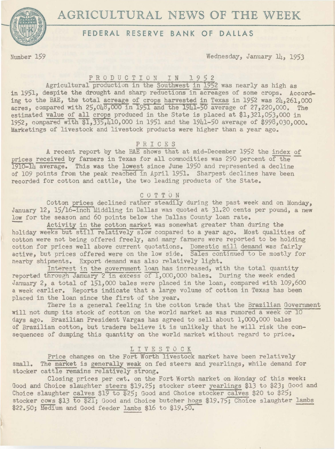



## **FEDERAL RESERVE BANK OF DALLAS**

Number 159 Wednesday, January 14, 1953

## PRODUCTION IN 1952

Agricultural production in the Southwest in 1952 was nearly as high as in 1951, despite the drought and sharp reductions in acreages of some crops. According to the BAE, the total acreage of crops harvested in Texas in 1952 was  $2h,261,000$ acres, compared with  $25.048,000$  in 1951 and the 19 $\overline{1911}$ -50 average of 27,220,000. The estimated value of all crops produced in the State is placed at  $$1,321,053,000$  in 1952, compared with \$1,335,410,000 in 1951 and the 1941-50 average of \$998,030,000. Marketings of livestock and livestock products were higher than a year ago.

#### P R I C E S

A recent report by the BAE shows that at mid-December 1952 the index of prices received by farmers in Texas for all commodities was 290 percent of the 1910-14 average. This was the lowest since June 1950 and represented a decline of 109 points from the peak reached in April 1951. Sharpest declines have been recorded for cotton and cattle, the two leading products of the State.

# C 0 T T 0 N

Cotton prices declined rather steadily during the past week and on Monday, January 12, 15/16-inch Middling in Dallas was quoted at 31.20 cents per pound, a new low for the season and 60 points below the Dallas County loan rate.

Activity in the cotton market was somewhat greater than during the holiday weeks but still relatively slow compared to a year ago. Most qualities of cotton were not being offered freely, and many farmers were reported to be holding cotton for prices well above current quotations. Domestic mill demand was fairly active, but prices offered were on the low side. Sales continued to be mostly for nearby shipments. Export demand was also relatively light.

Interest in the government loan has increased, with the total quantity reported through January 2 in excess of 1,000,000 bales. During the week ended January 2, a total of 151,000 bales were placed in the loan, compared with 109,600 a week earlier. Reports indicate that a large volume of cotton in Texas has been placed in the loan since the first of the year.

There is a general feeling in the cotton trade that the Brazilian Government will not dump its stock of cotton on the world market as was rwnored a week or 10 days ago. Brazilian President Vargas has agreed to sell about l,000,000 bales of Brazilian cotton, but traders believe it is unlikely that he will risk the consequences of dumping this quantity on the world market without regard to price.

## L I V E S T 0 C K

Price changes on the Fort Worth livestock market have been relatively small. The market is generally weak on fed steers and yearlings, while demand for stocker cattle remains relatively strong.

Closing prices per cwt. on the Fort Worth market on Monday of this week: Good and Choice slaughter steers \$19.25; stocker steer yearlings \$13 to \$23; Good and Choice slaughter calves \$19 to \$25; Good and Choice stocker calves \$20 to \$25; stocker cows \$13 to \$21; Good and Choice butcher hogs \$19.75; Choice slaughter lambs \$22.50; Medium and Good feeder lambs \$16 to \$19.50.